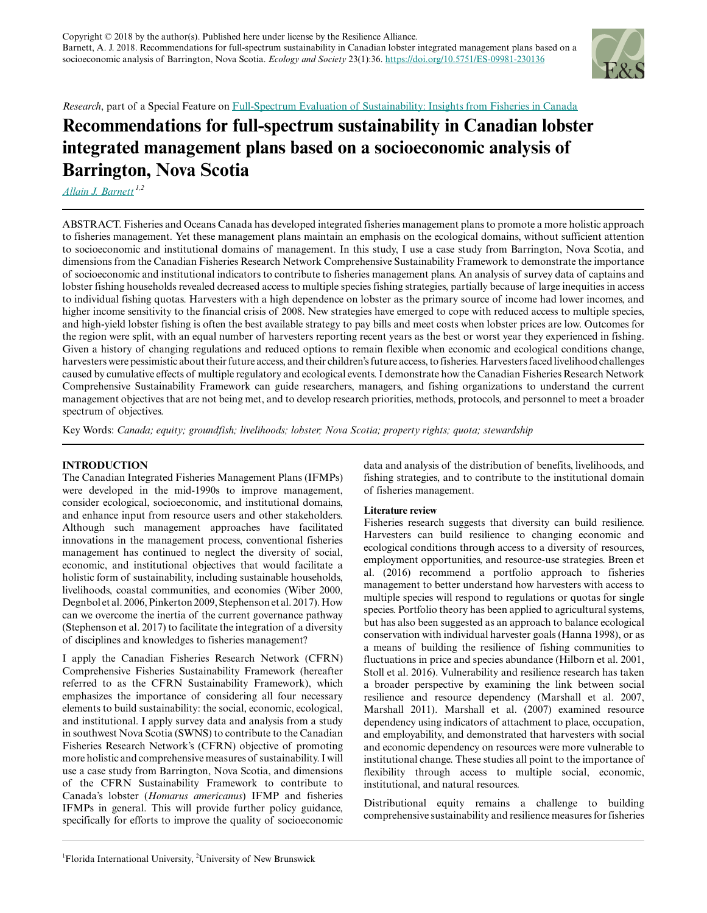

*Research*, part of a Special Feature on [Full-Spectrum Evaluation of Sustainability: Insights from Fisheries in Canada](https://www.ecologyandsociety.org/viewissue.php?sf=132)

# **Recommendations for full-spectrum sustainability in Canadian lobster integrated management plans based on a socioeconomic analysis of Barrington, Nova Scotia**

*[Allain J. Barnett](mailto:abarnett@fiu.edu) 1,2*

ABSTRACT. Fisheries and Oceans Canada has developed integrated fisheries management plans to promote a more holistic approach to fisheries management. Yet these management plans maintain an emphasis on the ecological domains, without sufficient attention to socioeconomic and institutional domains of management. In this study, I use a case study from Barrington, Nova Scotia, and dimensions from the Canadian Fisheries Research Network Comprehensive Sustainability Framework to demonstrate the importance of socioeconomic and institutional indicators to contribute to fisheries management plans. An analysis of survey data of captains and lobster fishing households revealed decreased access to multiple species fishing strategies, partially because of large inequities in access to individual fishing quotas. Harvesters with a high dependence on lobster as the primary source of income had lower incomes, and higher income sensitivity to the financial crisis of 2008. New strategies have emerged to cope with reduced access to multiple species, and high-yield lobster fishing is often the best available strategy to pay bills and meet costs when lobster prices are low. Outcomes for the region were split, with an equal number of harvesters reporting recent years as the best or worst year they experienced in fishing. Given a history of changing regulations and reduced options to remain flexible when economic and ecological conditions change, harvesters were pessimistic about their future access, and their children's future access, to fisheries. Harvesters faced livelihood challenges caused by cumulative effects of multiple regulatory and ecological events. I demonstrate how the Canadian Fisheries Research Network Comprehensive Sustainability Framework can guide researchers, managers, and fishing organizations to understand the current management objectives that are not being met, and to develop research priorities, methods, protocols, and personnel to meet a broader spectrum of objectives.

Key Words: *Canada; equity; groundfish; livelihoods; lobster; Nova Scotia; property rights; quota; stewardship*

# **INTRODUCTION**

The Canadian Integrated Fisheries Management Plans (IFMPs) were developed in the mid-1990s to improve management, consider ecological, socioeconomic, and institutional domains, and enhance input from resource users and other stakeholders. Although such management approaches have facilitated innovations in the management process, conventional fisheries management has continued to neglect the diversity of social, economic, and institutional objectives that would facilitate a holistic form of sustainability, including sustainable households, livelihoods, coastal communities, and economies (Wiber 2000, Degnbol et al. 2006, Pinkerton 2009, Stephenson et al. 2017). How can we overcome the inertia of the current governance pathway (Stephenson et al. 2017) to facilitate the integration of a diversity of disciplines and knowledges to fisheries management?

I apply the Canadian Fisheries Research Network (CFRN) Comprehensive Fisheries Sustainability Framework (hereafter referred to as the CFRN Sustainability Framework), which emphasizes the importance of considering all four necessary elements to build sustainability: the social, economic, ecological, and institutional. I apply survey data and analysis from a study in southwest Nova Scotia (SWNS) to contribute to the Canadian Fisheries Research Network's (CFRN) objective of promoting more holistic and comprehensive measures of sustainability. I will use a case study from Barrington, Nova Scotia, and dimensions of the CFRN Sustainability Framework to contribute to Canada's lobster (*Homarus americanus*) IFMP and fisheries IFMPs in general. This will provide further policy guidance, specifically for efforts to improve the quality of socioeconomic

data and analysis of the distribution of benefits, livelihoods, and fishing strategies, and to contribute to the institutional domain of fisheries management.

# **Literature review**

Fisheries research suggests that diversity can build resilience. Harvesters can build resilience to changing economic and ecological conditions through access to a diversity of resources, employment opportunities, and resource-use strategies. Breen et al. (2016) recommend a portfolio approach to fisheries management to better understand how harvesters with access to multiple species will respond to regulations or quotas for single species. Portfolio theory has been applied to agricultural systems, but has also been suggested as an approach to balance ecological conservation with individual harvester goals (Hanna 1998), or as a means of building the resilience of fishing communities to fluctuations in price and species abundance (Hilborn et al. 2001, Stoll et al. 2016). Vulnerability and resilience research has taken a broader perspective by examining the link between social resilience and resource dependency (Marshall et al. 2007, Marshall 2011). Marshall et al. (2007) examined resource dependency using indicators of attachment to place, occupation, and employability, and demonstrated that harvesters with social and economic dependency on resources were more vulnerable to institutional change. These studies all point to the importance of flexibility through access to multiple social, economic, institutional, and natural resources.

Distributional equity remains a challenge to building comprehensive sustainability and resilience measures for fisheries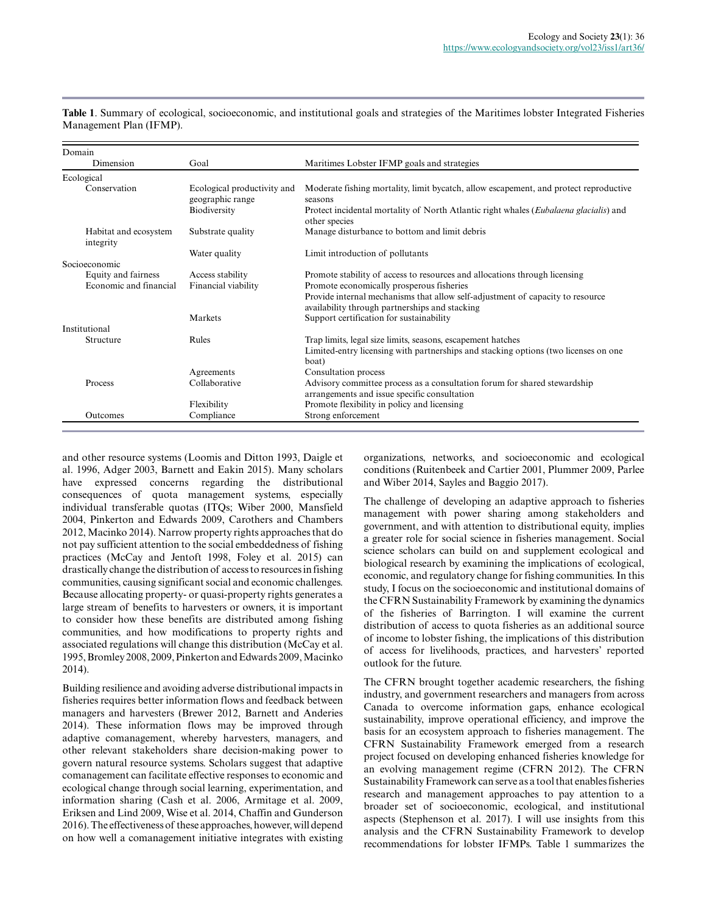**Table 1**. Summary of ecological, socioeconomic, and institutional goals and strategies of the Maritimes lobster Integrated Fisheries Management Plan (IFMP).

| Domain                             |                                                 |                                                                                                                                  |
|------------------------------------|-------------------------------------------------|----------------------------------------------------------------------------------------------------------------------------------|
| Dimension                          | Goal                                            | Maritimes Lobster IFMP goals and strategies                                                                                      |
| Ecological                         |                                                 |                                                                                                                                  |
| Conservation                       | Ecological productivity and<br>geographic range | Moderate fishing mortality, limit by catch, allow escapement, and protect reproductive<br>seasons                                |
|                                    | Biodiversity                                    | Protect incidental mortality of North Atlantic right whales ( <i>Eubalaena glacialis</i> ) and<br>other species                  |
| Habitat and ecosystem<br>integrity | Substrate quality                               | Manage disturbance to bottom and limit debris                                                                                    |
|                                    | Water quality                                   | Limit introduction of pollutants                                                                                                 |
| Socioeconomic                      |                                                 |                                                                                                                                  |
| Equity and fairness                | Access stability                                | Promote stability of access to resources and allocations through licensing                                                       |
| Economic and financial             | Financial viability                             | Promote economically prosperous fisheries                                                                                        |
|                                    |                                                 | Provide internal mechanisms that allow self-adjustment of capacity to resource<br>availability through partnerships and stacking |
|                                    | Markets                                         | Support certification for sustainability                                                                                         |
| Institutional                      |                                                 |                                                                                                                                  |
| Structure                          | Rules                                           | Trap limits, legal size limits, seasons, escapement hatches                                                                      |
|                                    |                                                 | Limited-entry licensing with partnerships and stacking options (two licenses on one<br>boat)                                     |
|                                    | Agreements                                      | Consultation process                                                                                                             |
| Process                            | Collaborative                                   | Advisory committee process as a consultation forum for shared stewardship                                                        |
|                                    |                                                 | arrangements and issue specific consultation                                                                                     |
| Outcomes                           | Flexibility                                     | Promote flexibility in policy and licensing<br>Strong enforcement                                                                |
|                                    | Compliance                                      |                                                                                                                                  |

and other resource systems (Loomis and Ditton 1993, Daigle et al. 1996, Adger 2003, Barnett and Eakin 2015). Many scholars have expressed concerns regarding the distributional consequences of quota management systems, especially individual transferable quotas (ITQs; Wiber 2000, Mansfield 2004, Pinkerton and Edwards 2009, Carothers and Chambers 2012, Macinko 2014). Narrow property rights approaches that do not pay sufficient attention to the social embeddedness of fishing practices (McCay and Jentoft 1998, Foley et al. 2015) can drastically change the distribution of access to resources in fishing communities, causing significant social and economic challenges. Because allocating property- or quasi-property rights generates a large stream of benefits to harvesters or owners, it is important to consider how these benefits are distributed among fishing communities, and how modifications to property rights and associated regulations will change this distribution (McCay et al. 1995, Bromley 2008, 2009, Pinkerton and Edwards 2009, Macinko 2014).

Building resilience and avoiding adverse distributional impacts in fisheries requires better information flows and feedback between managers and harvesters (Brewer 2012, Barnett and Anderies 2014). These information flows may be improved through adaptive comanagement, whereby harvesters, managers, and other relevant stakeholders share decision-making power to govern natural resource systems. Scholars suggest that adaptive comanagement can facilitate effective responses to economic and ecological change through social learning, experimentation, and information sharing (Cash et al. 2006, Armitage et al. 2009, Eriksen and Lind 2009, Wise et al. 2014, Chaffin and Gunderson 2016). The effectiveness of these approaches, however, will depend on how well a comanagement initiative integrates with existing

organizations, networks, and socioeconomic and ecological conditions (Ruitenbeek and Cartier 2001, Plummer 2009, Parlee and Wiber 2014, Sayles and Baggio 2017).

The challenge of developing an adaptive approach to fisheries management with power sharing among stakeholders and government, and with attention to distributional equity, implies a greater role for social science in fisheries management. Social science scholars can build on and supplement ecological and biological research by examining the implications of ecological, economic, and regulatory change for fishing communities. In this study, I focus on the socioeconomic and institutional domains of the CFRN Sustainability Framework by examining the dynamics of the fisheries of Barrington. I will examine the current distribution of access to quota fisheries as an additional source of income to lobster fishing, the implications of this distribution of access for livelihoods, practices, and harvesters' reported outlook for the future.

The CFRN brought together academic researchers, the fishing industry, and government researchers and managers from across Canada to overcome information gaps, enhance ecological sustainability, improve operational efficiency, and improve the basis for an ecosystem approach to fisheries management. The CFRN Sustainability Framework emerged from a research project focused on developing enhanced fisheries knowledge for an evolving management regime (CFRN 2012). The CFRN Sustainability Framework can serve as a tool that enables fisheries research and management approaches to pay attention to a broader set of socioeconomic, ecological, and institutional aspects (Stephenson et al. 2017). I will use insights from this analysis and the CFRN Sustainability Framework to develop recommendations for lobster IFMPs. Table 1 summarizes the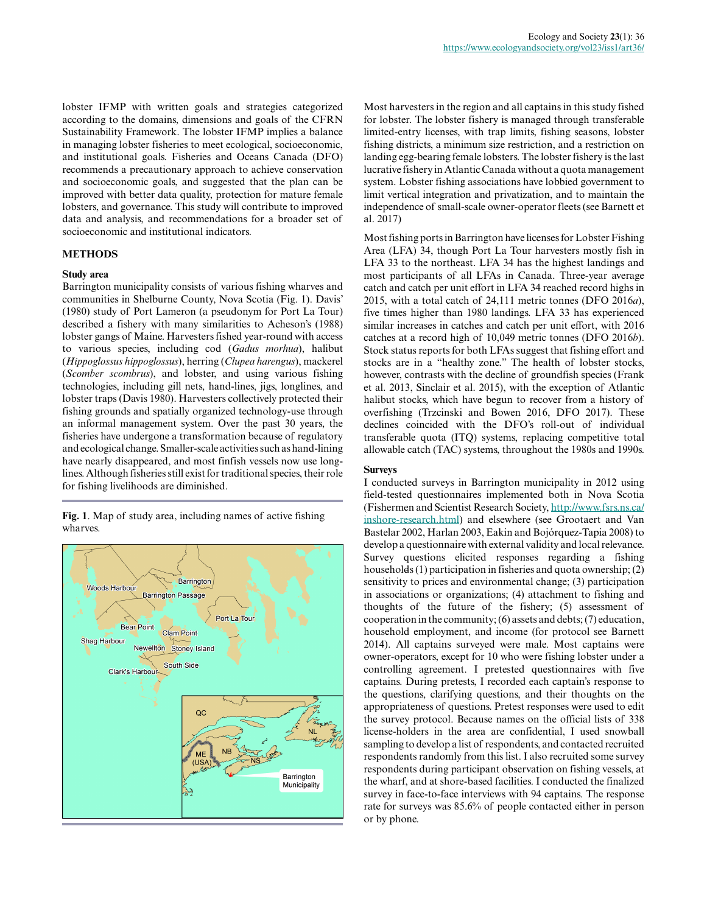lobster IFMP with written goals and strategies categorized according to the domains, dimensions and goals of the CFRN Sustainability Framework. The lobster IFMP implies a balance in managing lobster fisheries to meet ecological, socioeconomic, and institutional goals. Fisheries and Oceans Canada (DFO) recommends a precautionary approach to achieve conservation and socioeconomic goals, and suggested that the plan can be improved with better data quality, protection for mature female lobsters, and governance. This study will contribute to improved data and analysis, and recommendations for a broader set of socioeconomic and institutional indicators.

# **METHODS**

#### **Study area**

Barrington municipality consists of various fishing wharves and communities in Shelburne County, Nova Scotia (Fig. 1). Davis' (1980) study of Port Lameron (a pseudonym for Port La Tour) described a fishery with many similarities to Acheson's (1988) lobster gangs of Maine. Harvesters fished year-round with access to various species, including cod (*Gadus morhua*), halibut (*Hippoglossus hippoglossus*), herring (*Clupea harengus*), mackerel (*Scomber scombrus*), and lobster, and using various fishing technologies, including gill nets, hand-lines, jigs, longlines, and lobster traps (Davis 1980). Harvesters collectively protected their fishing grounds and spatially organized technology-use through an informal management system. Over the past 30 years, the fisheries have undergone a transformation because of regulatory and ecological change. Smaller-scale activities such as hand-lining have nearly disappeared, and most finfish vessels now use longlines. Although fisheries still exist for traditional species, their role for fishing livelihoods are diminished.

**Fig. 1**. Map of study area, including names of active fishing wharves.



Most harvesters in the region and all captains in this study fished for lobster. The lobster fishery is managed through transferable limited-entry licenses, with trap limits, fishing seasons, lobster fishing districts, a minimum size restriction, and a restriction on landing egg-bearing female lobsters. The lobster fishery is the last lucrative fishery in Atlantic Canada without a quota management system. Lobster fishing associations have lobbied government to limit vertical integration and privatization, and to maintain the independence of small-scale owner-operator fleets (see Barnett et al. 2017)

Most fishing ports in Barrington have licenses for Lobster Fishing Area (LFA) 34, though Port La Tour harvesters mostly fish in LFA 33 to the northeast. LFA 34 has the highest landings and most participants of all LFAs in Canada. Three-year average catch and catch per unit effort in LFA 34 reached record highs in 2015, with a total catch of 24,111 metric tonnes (DFO 2016*a*), five times higher than 1980 landings. LFA 33 has experienced similar increases in catches and catch per unit effort, with 2016 catches at a record high of 10,049 metric tonnes (DFO 2016*b*). Stock status reports for both LFAs suggest that fishing effort and stocks are in a "healthy zone." The health of lobster stocks, however, contrasts with the decline of groundfish species (Frank et al. 2013, Sinclair et al. 2015), with the exception of Atlantic halibut stocks, which have begun to recover from a history of overfishing (Trzcinski and Bowen 2016, DFO 2017). These declines coincided with the DFO's roll-out of individual transferable quota (ITQ) systems, replacing competitive total allowable catch (TAC) systems, throughout the 1980s and 1990s.

#### **Surveys**

I conducted surveys in Barrington municipality in 2012 using field-tested questionnaires implemented both in Nova Scotia (Fishermen and Scientist Research Society, [http://www.fsrs.ns.ca/](http://www.fsrs.ns.ca/inshore-research.html) [inshore-research.html\)](http://www.fsrs.ns.ca/inshore-research.html) and elsewhere (see Grootaert and Van Bastelar 2002, Harlan 2003, Eakin and Bojórquez-Tapia 2008) to develop a questionnaire with external validity and local relevance. Survey questions elicited responses regarding a fishing households  $(1)$  participation in fisheries and quota ownership;  $(2)$ sensitivity to prices and environmental change; (3) participation in associations or organizations; (4) attachment to fishing and thoughts of the future of the fishery; (5) assessment of cooperation in the community; (6) assets and debts; (7) education, household employment, and income (for protocol see Barnett 2014). All captains surveyed were male. Most captains were owner-operators, except for 10 who were fishing lobster under a controlling agreement. I pretested questionnaires with five captains. During pretests, I recorded each captain's response to the questions, clarifying questions, and their thoughts on the appropriateness of questions. Pretest responses were used to edit the survey protocol. Because names on the official lists of 338 license-holders in the area are confidential, I used snowball sampling to develop a list of respondents, and contacted recruited respondents randomly from this list. I also recruited some survey respondents during participant observation on fishing vessels, at the wharf, and at shore-based facilities. I conducted the finalized survey in face-to-face interviews with 94 captains. The response rate for surveys was 85.6% of people contacted either in person or by phone.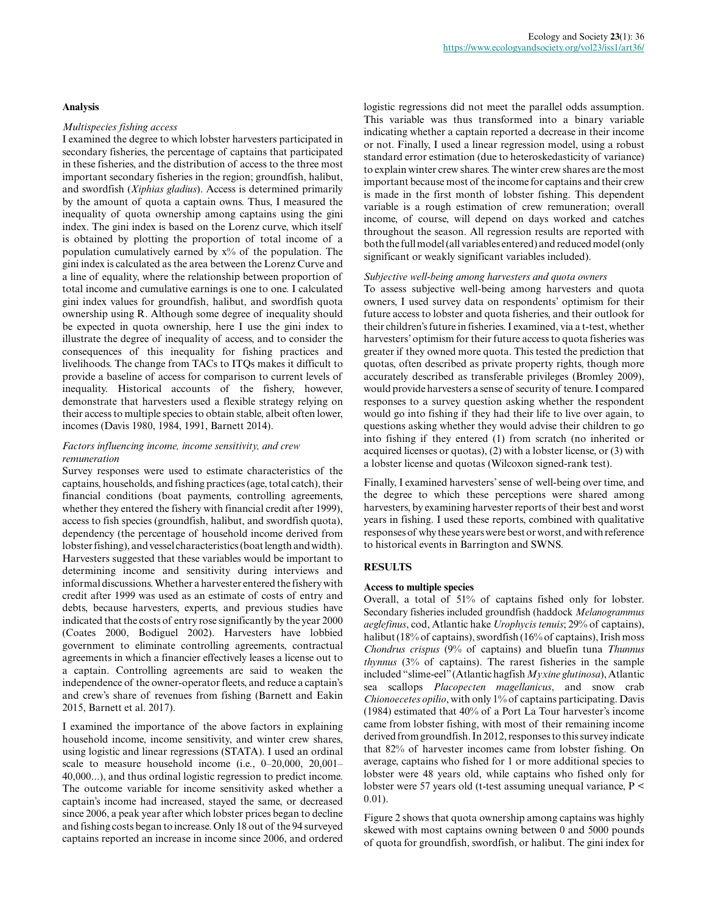#### **Analysis**

#### *Multispecies fishing access*

I examined the degree to which lobster harvesters participated in secondary fisheries, the percentage of captains that participated in these fisheries, and the distribution of access to the three most important secondary fisheries in the region; groundfish, halibut, and swordfish (*Xiphias gladius*). Access is determined primarily by the amount of quota a captain owns. Thus, I measured the inequality of quota ownership among captains using the gini index. The gini index is based on the Lorenz curve, which itself is obtained by plotting the proportion of total income of a population cumulatively earned by  $x\%$  of the population. The gini index is calculated as the area between the Lorenz Curve and a line of equality, where the relationship between proportion of total income and cumulative earnings is one to one. I calculated gini index values for groundfish, halibut, and swordfish quota ownership using R. Although some degree of inequality should be expected in quota ownership, here I use the gini index to illustrate the degree of inequality of access, and to consider the consequences of this inequality for fishing practices and livelihoods. The change from TACs to ITQs makes it difficult to provide a baseline of access for comparison to current levels of inequality. Historical accounts of the fishery, however, demonstrate that harvesters used a flexible strategy relying on their access to multiple species to obtain stable, albeit often lower, incomes (Davis 1980, 1984, 1991, Barnett 2014).

# *Factors influencing income, income sensitivity, and crew remuneration*

Survey responses were used to estimate characteristics of the captains, households, and fishing practices (age, total catch), their financial conditions (boat payments, controlling agreements, whether they entered the fishery with financial credit after 1999), access to fish species (groundfish, halibut, and swordfish quota), dependency (the percentage of household income derived from lobster fishing), and vessel characteristics (boat length and width). Harvesters suggested that these variables would be important to determining income and sensitivity during interviews and informal discussions. Whether a harvester entered the fishery with credit after 1999 was used as an estimate of costs of entry and debts, because harvesters, experts, and previous studies have indicated that the costs of entry rose significantly by the year 2000 (Coates 2000, Bodiguel 2002). Harvesters have lobbied government to eliminate controlling agreements, contractual agreements in which a financier effectively leases a license out to a captain. Controlling agreements are said to weaken the independence of the owner-operator fleets, and reduce a captain's and crew's share of revenues from fishing (Barnett and Eakin 2015, Barnett et al. 2017).

I examined the importance of the above factors in explaining household income, income sensitivity, and winter crew shares, using logistic and linear regressions (STATA). I used an ordinal scale to measure household income (i.e., 0–20,000, 20,001– 40,000...), and thus ordinal logistic regression to predict income. The outcome variable for income sensitivity asked whether a captain's income had increased, stayed the same, or decreased since 2006, a peak year after which lobster prices began to decline and fishing costs began to increase. Only 18 out of the 94 surveyed captains reported an increase in income since 2006, and ordered

logistic regressions did not meet the parallel odds assumption. This variable was thus transformed into a binary variable indicating whether a captain reported a decrease in their income or not. Finally, I used a linear regression model, using a robust standard error estimation (due to heteroskedasticity of variance) to explain winter crew shares. The winter crew shares are the most important because most of the income for captains and their crew is made in the first month of lobster fishing. This dependent variable is a rough estimation of crew remuneration; overall income, of course, will depend on days worked and catches throughout the season. All regression results are reported with both the full model (all variables entered) and reduced model (only significant or weakly significant variables included).

#### *Subjective well-being among harvesters and quota owners*

To assess subjective well-being among harvesters and quota owners, I used survey data on respondents' optimism for their future access to lobster and quota fisheries, and their outlook for their children's future in fisheries. I examined, via a t-test, whether harvesters' optimism for their future access to quota fisheries was greater if they owned more quota. This tested the prediction that quotas, often described as private property rights, though more accurately described as transferable privileges (Bromley 2009), would provide harvesters a sense of security of tenure. I compared responses to a survey question asking whether the respondent would go into fishing if they had their life to live over again, to questions asking whether they would advise their children to go into fishing if they entered (1) from scratch (no inherited or acquired licenses or quotas), (2) with a lobster license, or (3) with a lobster license and quotas (Wilcoxon signed-rank test).

Finally, I examined harvesters' sense of well-being over time, and the degree to which these perceptions were shared among harvesters, by examining harvester reports of their best and worst years in fishing. I used these reports, combined with qualitative responses of why these years were best or worst, and with reference to historical events in Barrington and SWNS.

# **RESULTS**

#### **Access to multiple species**

Overall, a total of 51% of captains fished only for lobster. Secondary fisheries included groundfish (haddock *Melanogrammus aeglefinus*, cod, Atlantic hake *Urophycis tenuis*; 29% of captains), halibut (18% of captains), swordfish (16% of captains), Irish moss *Chondrus crispus* (9% of captains) and bluefin tuna *Thunnus thynnus* (3% of captains). The rarest fisheries in the sample included "slime-eel" (Atlantic hagfish *Myxine glutinosa*), Atlantic sea scallops *Placopecten magellanicus*, and snow crab *Chionoecetes opilio*, with only 1% of captains participating. Davis (1984) estimated that 40% of a Port La Tour harvester's income came from lobster fishing, with most of their remaining income derived from groundfish. In 2012, responses to this survey indicate that 82% of harvester incomes came from lobster fishing. On average, captains who fished for 1 or more additional species to lobster were 48 years old, while captains who fished only for lobster were 57 years old (t-test assuming unequal variance, P < 0.01).

Figure 2 shows that quota ownership among captains was highly skewed with most captains owning between 0 and 5000 pounds of quota for groundfish, swordfish, or halibut. The gini index for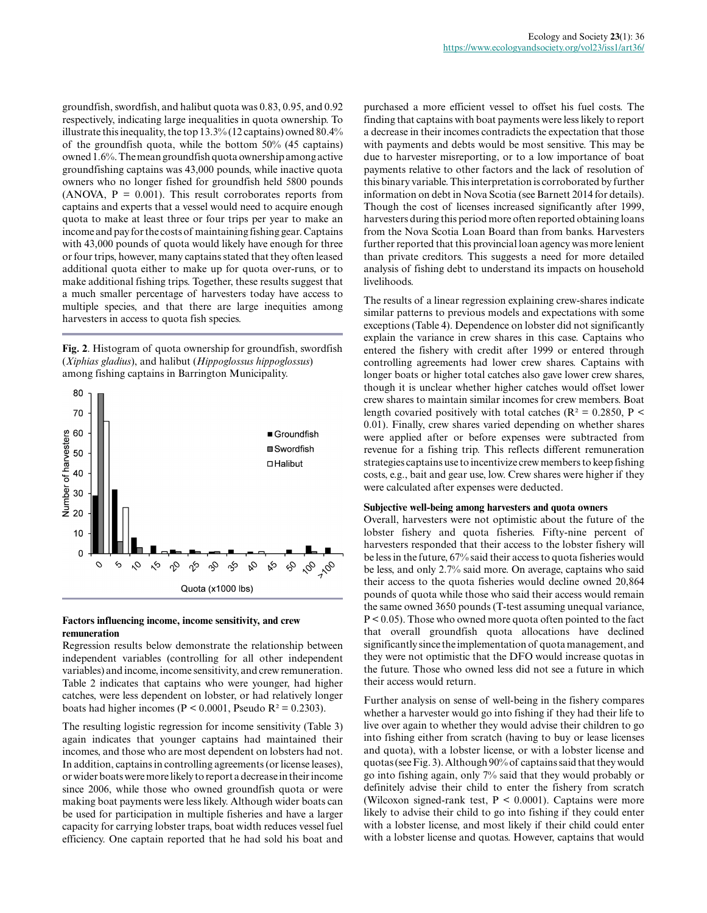groundfish, swordfish, and halibut quota was 0.83, 0.95, and 0.92 respectively, indicating large inequalities in quota ownership. To illustrate this inequality, the top 13.3% (12 captains) owned 80.4% of the groundfish quota, while the bottom 50% (45 captains) owned 1.6%. The mean groundfish quota ownership among active groundfishing captains was 43,000 pounds, while inactive quota owners who no longer fished for groundfish held 5800 pounds  $(ANOVA, P = 0.001)$ . This result corroborates reports from captains and experts that a vessel would need to acquire enough quota to make at least three or four trips per year to make an income and pay for the costs of maintaining fishing gear. Captains with 43,000 pounds of quota would likely have enough for three or four trips, however, many captains stated that they often leased additional quota either to make up for quota over-runs, or to make additional fishing trips. Together, these results suggest that a much smaller percentage of harvesters today have access to multiple species, and that there are large inequities among harvesters in access to quota fish species.

**Fig. 2**. Histogram of quota ownership for groundfish, swordfish (*Xiphias gladius*), and halibut (*Hippoglossus hippoglossus*) among fishing captains in Barrington Municipality.



# **Factors influencing income, income sensitivity, and crew remuneration**

Regression results below demonstrate the relationship between independent variables (controlling for all other independent variables) and income, income sensitivity, and crew remuneration. Table 2 indicates that captains who were younger, had higher catches, were less dependent on lobster, or had relatively longer boats had higher incomes ( $P < 0.0001$ , Pseudo  $R^2 = 0.2303$ ).

The resulting logistic regression for income sensitivity (Table 3) again indicates that younger captains had maintained their incomes, and those who are most dependent on lobsters had not. In addition, captains in controlling agreements (or license leases), or wider boats were more likely to report a decrease in their income since 2006, while those who owned groundfish quota or were making boat payments were less likely. Although wider boats can be used for participation in multiple fisheries and have a larger capacity for carrying lobster traps, boat width reduces vessel fuel efficiency. One captain reported that he had sold his boat and purchased a more efficient vessel to offset his fuel costs. The finding that captains with boat payments were less likely to report a decrease in their incomes contradicts the expectation that those with payments and debts would be most sensitive. This may be due to harvester misreporting, or to a low importance of boat payments relative to other factors and the lack of resolution of this binary variable. This interpretation is corroborated by further information on debt in Nova Scotia (see Barnett 2014 for details). Though the cost of licenses increased significantly after 1999, harvesters during this period more often reported obtaining loans from the Nova Scotia Loan Board than from banks. Harvesters further reported that this provincial loan agency was more lenient than private creditors. This suggests a need for more detailed analysis of fishing debt to understand its impacts on household livelihoods.

The results of a linear regression explaining crew-shares indicate similar patterns to previous models and expectations with some exceptions (Table 4). Dependence on lobster did not significantly explain the variance in crew shares in this case. Captains who entered the fishery with credit after 1999 or entered through controlling agreements had lower crew shares. Captains with longer boats or higher total catches also gave lower crew shares, though it is unclear whether higher catches would offset lower crew shares to maintain similar incomes for crew members. Boat length covaried positively with total catches ( $\mathbb{R}^2 = 0.2850$ ,  $\mathbb{P} <$ 0.01). Finally, crew shares varied depending on whether shares were applied after or before expenses were subtracted from revenue for a fishing trip. This reflects different remuneration strategies captains use to incentivize crew members to keep fishing costs, e.g., bait and gear use, low. Crew shares were higher if they were calculated after expenses were deducted.

# **Subjective well-being among harvesters and quota owners**

Overall, harvesters were not optimistic about the future of the lobster fishery and quota fisheries. Fifty-nine percent of harvesters responded that their access to the lobster fishery will be less in the future, 67% said their access to quota fisheries would be less, and only 2.7% said more. On average, captains who said their access to the quota fisheries would decline owned 20,864 pounds of quota while those who said their access would remain the same owned 3650 pounds (T-test assuming unequal variance, P < 0.05). Those who owned more quota often pointed to the fact that overall groundfish quota allocations have declined significantly since the implementation of quota management, and they were not optimistic that the DFO would increase quotas in the future. Those who owned less did not see a future in which their access would return.

Further analysis on sense of well-being in the fishery compares whether a harvester would go into fishing if they had their life to live over again to whether they would advise their children to go into fishing either from scratch (having to buy or lease licenses and quota), with a lobster license, or with a lobster license and quotas (see Fig. 3). Although 90% of captains said that they would go into fishing again, only 7% said that they would probably or definitely advise their child to enter the fishery from scratch (Wilcoxon signed-rank test,  $P < 0.0001$ ). Captains were more likely to advise their child to go into fishing if they could enter with a lobster license, and most likely if their child could enter with a lobster license and quotas. However, captains that would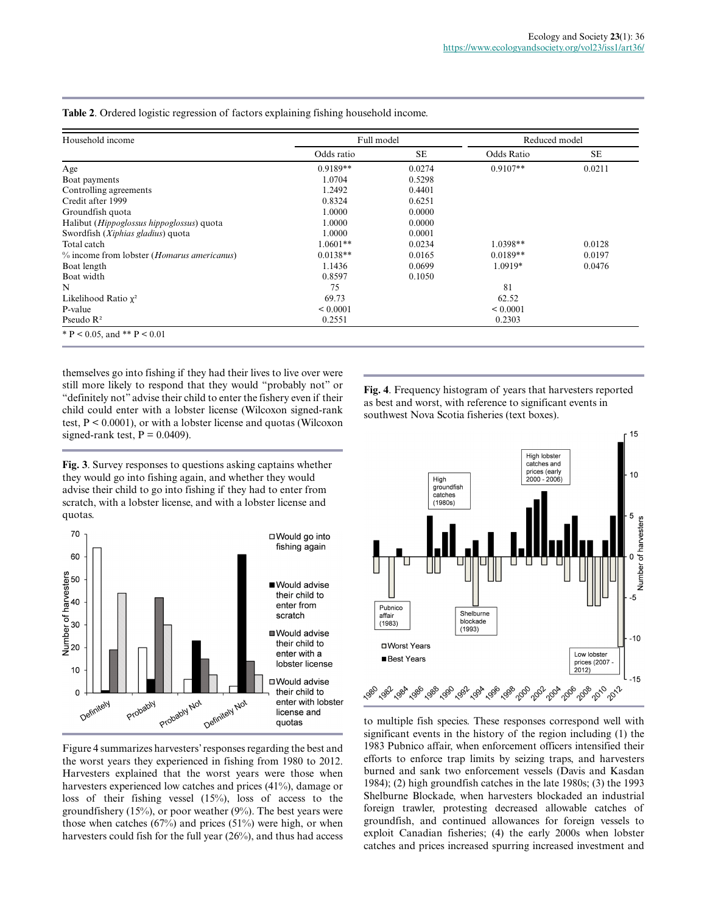| Household income                                   | Full model    |        | Reduced model |           |
|----------------------------------------------------|---------------|--------|---------------|-----------|
|                                                    | Odds ratio    | SE     | Odds Ratio    | <b>SE</b> |
| Age                                                | $0.9189**$    | 0.0274 | $0.9107**$    | 0.0211    |
| Boat payments                                      | 1.0704        | 0.5298 |               |           |
| Controlling agreements                             | 1.2492        | 0.4401 |               |           |
| Credit after 1999                                  | 0.8324        | 0.6251 |               |           |
| Groundfish quota                                   | 1.0000        | 0.0000 |               |           |
| Halibut ( <i>Hippoglossus hippoglossus</i> ) quota | 1.0000        | 0.0000 |               |           |
| Swordfish (Xiphias gladius) quota                  | 1.0000        | 0.0001 |               |           |
| Total catch                                        | $1.0601**$    | 0.0234 | 1.0398**      | 0.0128    |
| % income from lobster (Homarus americanus)         | $0.0138**$    | 0.0165 | $0.0189**$    | 0.0197    |
| Boat length                                        | 1.1436        | 0.0699 | 1.0919*       | 0.0476    |
| Boat width                                         | 0.8597        | 0.1050 |               |           |
| N                                                  | 75            |        | 81            |           |
| Likelihood Ratio $\chi^2$                          | 69.73         |        | 62.52         |           |
| P-value                                            | ${}_{0.0001}$ |        | ${}_{0.0001}$ |           |
| Pseudo $\mathbb{R}^2$                              | 0.2551        |        | 0.2303        |           |

**Table 2**. Ordered logistic regression of factors explaining fishing household income.

themselves go into fishing if they had their lives to live over were still more likely to respond that they would "probably not" or "definitely not" advise their child to enter the fishery even if their child could enter with a lobster license (Wilcoxon signed-rank test, P < 0.0001), or with a lobster license and quotas (Wilcoxon signed-rank test,  $P = 0.0409$ .

**Fig. 3**. Survey responses to questions asking captains whether they would go into fishing again, and whether they would advise their child to go into fishing if they had to enter from scratch, with a lobster license, and with a lobster license and quotas.



Figure 4 summarizes harvesters' responses regarding the best and the worst years they experienced in fishing from 1980 to 2012. Harvesters explained that the worst years were those when harvesters experienced low catches and prices (41%), damage or loss of their fishing vessel (15%), loss of access to the groundfishery  $(15\%)$ , or poor weather  $(9\%)$ . The best years were those when catches  $(67%)$  and prices  $(51%)$  were high, or when harvesters could fish for the full year (26%), and thus had access

**Fig. 4**. Frequency histogram of years that harvesters reported as best and worst, with reference to significant events in southwest Nova Scotia fisheries (text boxes).



to multiple fish species. These responses correspond well with significant events in the history of the region including (1) the 1983 Pubnico affair, when enforcement officers intensified their efforts to enforce trap limits by seizing traps, and harvesters burned and sank two enforcement vessels (Davis and Kasdan 1984); (2) high groundfish catches in the late 1980s; (3) the 1993 Shelburne Blockade, when harvesters blockaded an industrial foreign trawler, protesting decreased allowable catches of groundfish, and continued allowances for foreign vessels to exploit Canadian fisheries; (4) the early 2000s when lobster catches and prices increased spurring increased investment and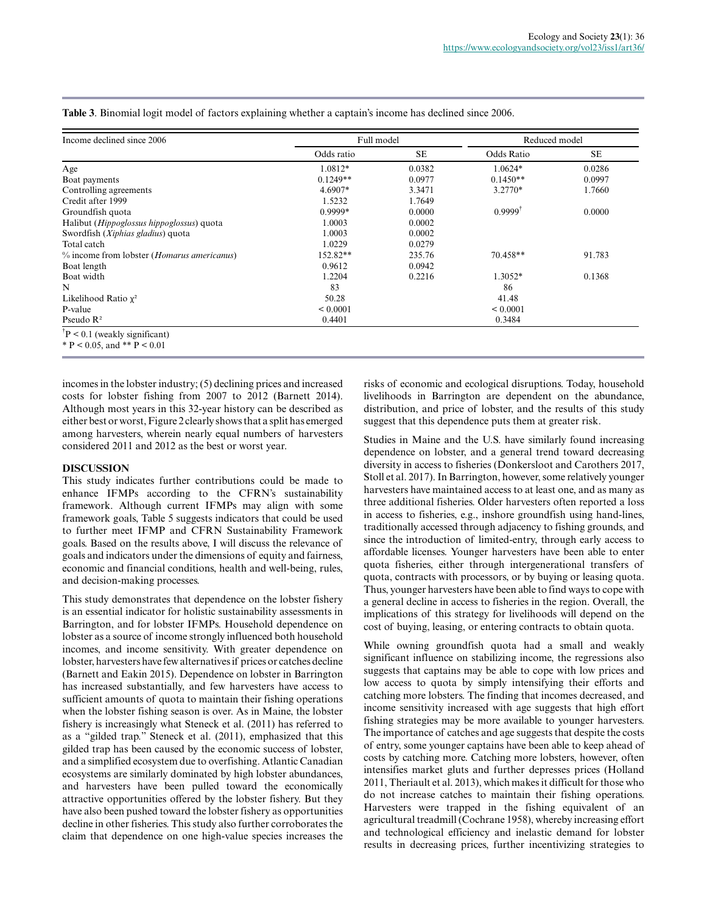| Income declined since 2006                          | Full model    |        | Reduced model      |        |
|-----------------------------------------------------|---------------|--------|--------------------|--------|
|                                                     | Odds ratio    | SE     | Odds Ratio         | SE     |
| Age                                                 | 1.0812*       | 0.0382 | $1.0624*$          | 0.0286 |
| Boat payments                                       | $0.1249**$    | 0.0977 | $0.1450**$         | 0.0997 |
| Controlling agreements                              | 4.6907*       | 3.3471 | $3.2770*$          | 1.7660 |
| Credit after 1999                                   | 1.5232        | 1.7649 |                    |        |
| Groundfish quota                                    | $0.9999*$     | 0.0000 | $0.9999^{\dagger}$ | 0.0000 |
| Halibut (Hippoglossus hippoglossus) quota           | 1.0003        | 0.0002 |                    |        |
| Swordfish (Xiphias gladius) quota                   | 1.0003        | 0.0002 |                    |        |
| Total catch                                         | 1.0229        | 0.0279 |                    |        |
| % income from lobster ( <i>Homarus americanus</i> ) | 152.82**      | 235.76 | 70.458**           | 91.783 |
| Boat length                                         | 0.9612        | 0.0942 |                    |        |
| Boat width                                          | 1.2204        | 0.2216 | 1.3052*            | 0.1368 |
| N                                                   | 83            |        | 86                 |        |
| Likelihood Ratio $x^2$                              | 50.28         |        | 41.48              |        |
| P-value                                             | ${}_{0.0001}$ |        | ${}_{0.0001}$      |        |
| Pseudo $\mathbb{R}^2$                               | 0.4401        |        | 0.3484             |        |

**Table 3**. Binomial logit model of factors explaining whether a captain's income has declined since 2006.

incomes in the lobster industry; (5) declining prices and increased costs for lobster fishing from 2007 to 2012 (Barnett 2014). Although most years in this 32-year history can be described as either best or worst, Figure 2 clearly shows that a split has emerged among harvesters, wherein nearly equal numbers of harvesters considered 2011 and 2012 as the best or worst year.

# **DISCUSSION**

This study indicates further contributions could be made to enhance IFMPs according to the CFRN's sustainability framework. Although current IFMPs may align with some framework goals, Table 5 suggests indicators that could be used to further meet IFMP and CFRN Sustainability Framework goals. Based on the results above, I will discuss the relevance of goals and indicators under the dimensions of equity and fairness, economic and financial conditions, health and well-being, rules, and decision-making processes.

This study demonstrates that dependence on the lobster fishery is an essential indicator for holistic sustainability assessments in Barrington, and for lobster IFMPs. Household dependence on lobster as a source of income strongly influenced both household incomes, and income sensitivity. With greater dependence on lobster, harvesters have few alternatives if prices or catches decline (Barnett and Eakin 2015). Dependence on lobster in Barrington has increased substantially, and few harvesters have access to sufficient amounts of quota to maintain their fishing operations when the lobster fishing season is over. As in Maine, the lobster fishery is increasingly what Steneck et al. (2011) has referred to as a "gilded trap." Steneck et al. (2011), emphasized that this gilded trap has been caused by the economic success of lobster, and a simplified ecosystem due to overfishing. Atlantic Canadian ecosystems are similarly dominated by high lobster abundances, and harvesters have been pulled toward the economically attractive opportunities offered by the lobster fishery. But they have also been pushed toward the lobster fishery as opportunities decline in other fisheries. This study also further corroborates the claim that dependence on one high-value species increases the risks of economic and ecological disruptions. Today, household livelihoods in Barrington are dependent on the abundance, distribution, and price of lobster, and the results of this study suggest that this dependence puts them at greater risk.

Studies in Maine and the U.S. have similarly found increasing dependence on lobster, and a general trend toward decreasing diversity in access to fisheries (Donkersloot and Carothers 2017, Stoll et al. 2017). In Barrington, however, some relatively younger harvesters have maintained access to at least one, and as many as three additional fisheries. Older harvesters often reported a loss in access to fisheries, e.g., inshore groundfish using hand-lines, traditionally accessed through adjacency to fishing grounds, and since the introduction of limited-entry, through early access to affordable licenses. Younger harvesters have been able to enter quota fisheries, either through intergenerational transfers of quota, contracts with processors, or by buying or leasing quota. Thus, younger harvesters have been able to find ways to cope with a general decline in access to fisheries in the region. Overall, the implications of this strategy for livelihoods will depend on the cost of buying, leasing, or entering contracts to obtain quota.

While owning groundfish quota had a small and weakly significant influence on stabilizing income, the regressions also suggests that captains may be able to cope with low prices and low access to quota by simply intensifying their efforts and catching more lobsters. The finding that incomes decreased, and income sensitivity increased with age suggests that high effort fishing strategies may be more available to younger harvesters. The importance of catches and age suggests that despite the costs of entry, some younger captains have been able to keep ahead of costs by catching more. Catching more lobsters, however, often intensifies market gluts and further depresses prices (Holland 2011, Theriault et al. 2013), which makes it difficult for those who do not increase catches to maintain their fishing operations. Harvesters were trapped in the fishing equivalent of an agricultural treadmill (Cochrane 1958), whereby increasing effort and technological efficiency and inelastic demand for lobster results in decreasing prices, further incentivizing strategies to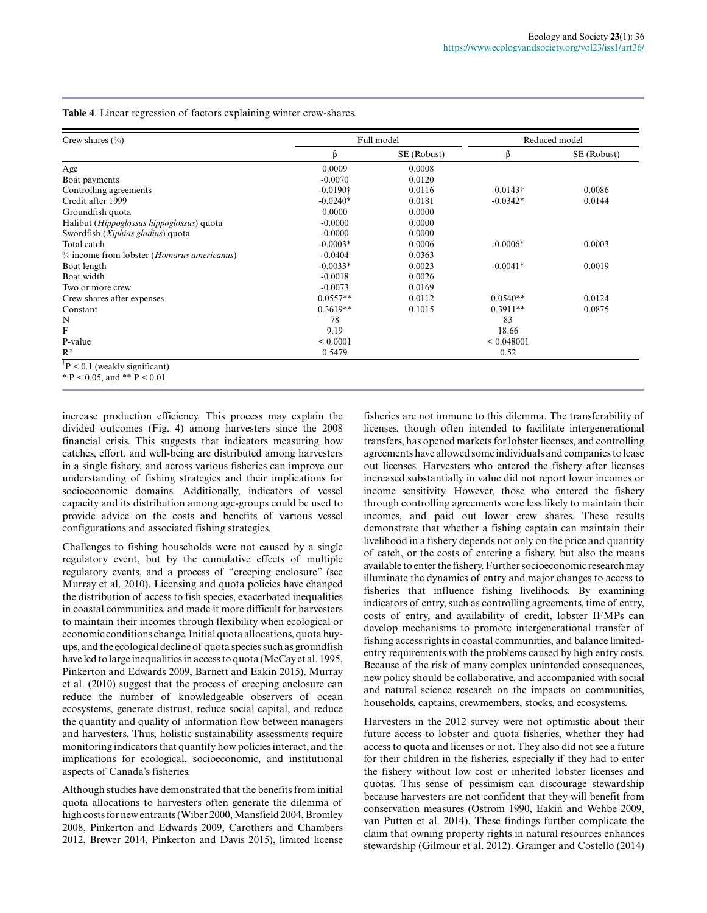β SE (Robust) β SE (Robust)

| Crew shares $(\% )$                                 | Full model       |             | Reduced model    |          |
|-----------------------------------------------------|------------------|-------------|------------------|----------|
|                                                     |                  | SE (Robust) |                  | SE (Robi |
| Age                                                 | 0.0009           | 0.0008      |                  |          |
| Boat payments                                       | $-0.0070$        | 0.0120      |                  |          |
| Controlling agreements                              | $-0.0190\dagger$ | 0.0116      | $-0.0143\dagger$ | 0.0086   |
| Credit after 1999                                   | $-0.0240*$       | 0.0181      | $-0.0342*$       | 0.0144   |
| Groundfish quota                                    | 0.0000           | 0.0000      |                  |          |
| Halibut (Hippoglossus hippoglossus) quota           | $-0.0000$        | 0.0000      |                  |          |
| Swordfish ( <i>Xiphias gladius</i> ) quota          | $-0.0000$        | 0.0000      |                  |          |
| Total catch                                         | $-0.0003*$       | 0.0006      | $-0.0006*$       | 0.0003   |
| % income from lobster ( <i>Homarus americanus</i> ) | $-0.0404$        | 0.0363      |                  |          |
| Boat length                                         | $-0.0033*$       | 0.0023      | $-0.0041*$       | 0.0019   |
| Boat width                                          | $-0.0018$        | 0.0026      |                  |          |
| Two or more crew                                    | $-0.0073$        | 0.0169      |                  |          |
| Crew shares after expenses                          | $0.0557**$       | 0.0112      | $0.0540**$       | 0.0124   |
|                                                     |                  |             |                  |          |

N  $^{78}$  83 F 9.19 18.66  $P-value$   $< 0.0001$   $< 0.0001$   $< 0.048001$  $R^2$  0.5479 0.52

Constant 0.3911\*\* 0.0875

**Table 4**. Linear regression of factors explaining winter crew-shares.

 $p^{\dagger}P < 0.1$  (weakly significant)

 $*$  P < 0.05, and  $*$  P < 0.01

increase production efficiency. This process may explain the divided outcomes (Fig. 4) among harvesters since the 2008 financial crisis. This suggests that indicators measuring how catches, effort, and well-being are distributed among harvesters in a single fishery, and across various fisheries can improve our understanding of fishing strategies and their implications for socioeconomic domains. Additionally, indicators of vessel capacity and its distribution among age-groups could be used to provide advice on the costs and benefits of various vessel configurations and associated fishing strategies.

Challenges to fishing households were not caused by a single regulatory event, but by the cumulative effects of multiple regulatory events, and a process of "creeping enclosure" (see Murray et al. 2010). Licensing and quota policies have changed the distribution of access to fish species, exacerbated inequalities in coastal communities, and made it more difficult for harvesters to maintain their incomes through flexibility when ecological or economic conditions change. Initial quota allocations, quota buyups, and the ecological decline of quota species such as groundfish have led to large inequalities in access to quota (McCay et al. 1995, Pinkerton and Edwards 2009, Barnett and Eakin 2015). Murray et al. (2010) suggest that the process of creeping enclosure can reduce the number of knowledgeable observers of ocean ecosystems, generate distrust, reduce social capital, and reduce the quantity and quality of information flow between managers and harvesters. Thus, holistic sustainability assessments require monitoring indicators that quantify how policies interact, and the implications for ecological, socioeconomic, and institutional aspects of Canada's fisheries.

Although studies have demonstrated that the benefits from initial quota allocations to harvesters often generate the dilemma of high costs for new entrants (Wiber 2000, Mansfield 2004, Bromley 2008, Pinkerton and Edwards 2009, Carothers and Chambers 2012, Brewer 2014, Pinkerton and Davis 2015), limited license fisheries are not immune to this dilemma. The transferability of licenses, though often intended to facilitate intergenerational transfers, has opened markets for lobster licenses, and controlling agreements have allowed some individuals and companies to lease out licenses. Harvesters who entered the fishery after licenses increased substantially in value did not report lower incomes or income sensitivity. However, those who entered the fishery through controlling agreements were less likely to maintain their incomes, and paid out lower crew shares. These results demonstrate that whether a fishing captain can maintain their livelihood in a fishery depends not only on the price and quantity of catch, or the costs of entering a fishery, but also the means available to enter the fishery. Further socioeconomic research may illuminate the dynamics of entry and major changes to access to fisheries that influence fishing livelihoods. By examining indicators of entry, such as controlling agreements, time of entry, costs of entry, and availability of credit, lobster IFMPs can develop mechanisms to promote intergenerational transfer of fishing access rights in coastal communities, and balance limitedentry requirements with the problems caused by high entry costs. Because of the risk of many complex unintended consequences, new policy should be collaborative, and accompanied with social and natural science research on the impacts on communities, households, captains, crewmembers, stocks, and ecosystems.

Harvesters in the 2012 survey were not optimistic about their future access to lobster and quota fisheries, whether they had access to quota and licenses or not. They also did not see a future for their children in the fisheries, especially if they had to enter the fishery without low cost or inherited lobster licenses and quotas. This sense of pessimism can discourage stewardship because harvesters are not confident that they will benefit from conservation measures (Ostrom 1990, Eakin and Wehbe 2009, van Putten et al. 2014). These findings further complicate the claim that owning property rights in natural resources enhances stewardship (Gilmour et al. 2012). Grainger and Costello (2014)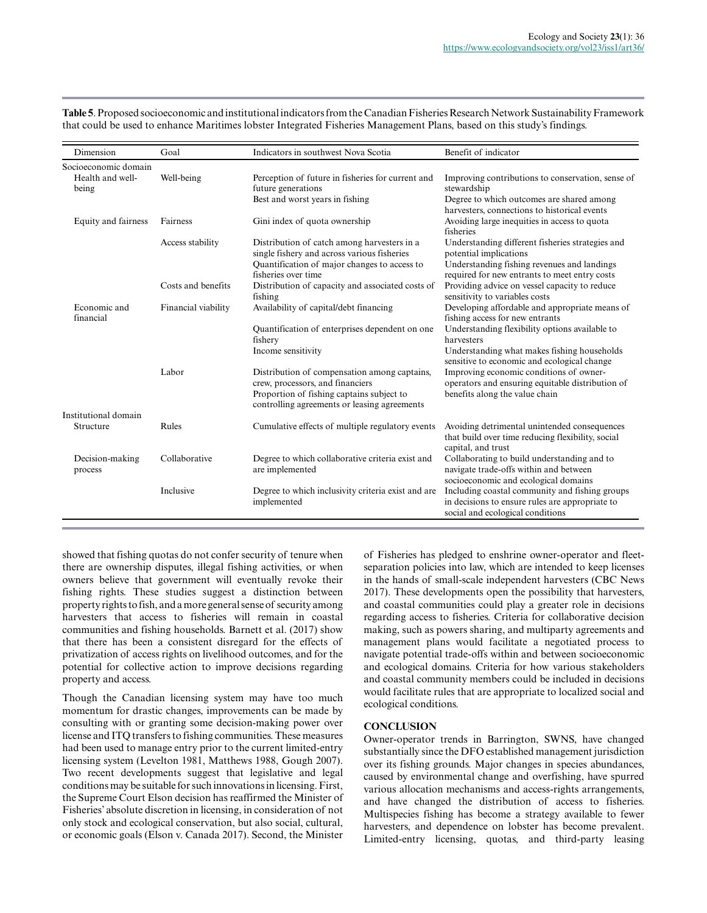**Table 5**. Proposed socioeconomic and institutional indicators from the Canadian Fisheries Research Network Sustainability Framework that could be used to enhance Maritimes lobster Integrated Fisheries Management Plans, based on this study's findings.

| Dimension                                         | Goal                | Indicators in southwest Nova Scotia                                                                                                                                                                 | Benefit of indicator                                                                                                                                                                                                        |
|---------------------------------------------------|---------------------|-----------------------------------------------------------------------------------------------------------------------------------------------------------------------------------------------------|-----------------------------------------------------------------------------------------------------------------------------------------------------------------------------------------------------------------------------|
| Socioeconomic domain<br>Health and well-<br>being | Well-being          | Perception of future in fisheries for current and<br>future generations<br>Best and worst years in fishing                                                                                          | Improving contributions to conservation, sense of<br>stewardship<br>Degree to which outcomes are shared among                                                                                                               |
| Equity and fairness                               | Fairness            | Gini index of quota ownership                                                                                                                                                                       | harvesters, connections to historical events<br>Avoiding large inequities in access to quota<br>fisheries                                                                                                                   |
|                                                   | Access stability    | Distribution of catch among harvesters in a<br>single fishery and across various fisheries<br>Quantification of major changes to access to<br>fisheries over time                                   | Understanding different fisheries strategies and<br>potential implications<br>Understanding fishing revenues and landings<br>required for new entrants to meet entry costs                                                  |
|                                                   | Costs and benefits  | Distribution of capacity and associated costs of<br>fishing                                                                                                                                         | Providing advice on vessel capacity to reduce<br>sensitivity to variables costs                                                                                                                                             |
| Economic and<br>financial                         | Financial viability | Availability of capital/debt financing<br>Quantification of enterprises dependent on one<br>fishery                                                                                                 | Developing affordable and appropriate means of<br>fishing access for new entrants<br>Understanding flexibility options available to<br>harvesters                                                                           |
|                                                   | Labor               | Income sensitivity<br>Distribution of compensation among captains,<br>crew, processors, and financiers<br>Proportion of fishing captains subject to<br>controlling agreements or leasing agreements | Understanding what makes fishing households<br>sensitive to economic and ecological change<br>Improving economic conditions of owner-<br>operators and ensuring equitable distribution of<br>benefits along the value chain |
| Institutional domain                              |                     |                                                                                                                                                                                                     |                                                                                                                                                                                                                             |
| Structure                                         | Rules               | Cumulative effects of multiple regulatory events                                                                                                                                                    | Avoiding detrimental unintended consequences<br>that build over time reducing flexibility, social<br>capital, and trust                                                                                                     |
| Decision-making<br>process                        | Collaborative       | Degree to which collaborative criteria exist and<br>are implemented                                                                                                                                 | Collaborating to build understanding and to<br>navigate trade-offs within and between<br>socioeconomic and ecological domains                                                                                               |
|                                                   | Inclusive           | Degree to which inclusivity criteria exist and are<br>implemented                                                                                                                                   | Including coastal community and fishing groups<br>in decisions to ensure rules are appropriate to<br>social and ecological conditions                                                                                       |

showed that fishing quotas do not confer security of tenure when there are ownership disputes, illegal fishing activities, or when owners believe that government will eventually revoke their fishing rights. These studies suggest a distinction between property rights to fish, and a more general sense of security among harvesters that access to fisheries will remain in coastal communities and fishing households. Barnett et al. (2017) show that there has been a consistent disregard for the effects of privatization of access rights on livelihood outcomes, and for the potential for collective action to improve decisions regarding property and access.

Though the Canadian licensing system may have too much momentum for drastic changes, improvements can be made by consulting with or granting some decision-making power over license and ITQ transfers to fishing communities. These measures had been used to manage entry prior to the current limited-entry licensing system (Levelton 1981, Matthews 1988, Gough 2007). Two recent developments suggest that legislative and legal conditions may be suitable for such innovations in licensing. First, the Supreme Court Elson decision has reaffirmed the Minister of Fisheries' absolute discretion in licensing, in consideration of not only stock and ecological conservation, but also social, cultural, or economic goals (Elson v. Canada 2017). Second, the Minister

of Fisheries has pledged to enshrine owner-operator and fleetseparation policies into law, which are intended to keep licenses in the hands of small-scale independent harvesters (CBC News 2017). These developments open the possibility that harvesters, and coastal communities could play a greater role in decisions regarding access to fisheries. Criteria for collaborative decision making, such as powers sharing, and multiparty agreements and management plans would facilitate a negotiated process to navigate potential trade-offs within and between socioeconomic and ecological domains. Criteria for how various stakeholders and coastal community members could be included in decisions would facilitate rules that are appropriate to localized social and ecological conditions.

# **CONCLUSION**

Owner-operator trends in Barrington, SWNS, have changed substantially since the DFO established management jurisdiction over its fishing grounds. Major changes in species abundances, caused by environmental change and overfishing, have spurred various allocation mechanisms and access-rights arrangements, and have changed the distribution of access to fisheries. Multispecies fishing has become a strategy available to fewer harvesters, and dependence on lobster has become prevalent. Limited-entry licensing, quotas, and third-party leasing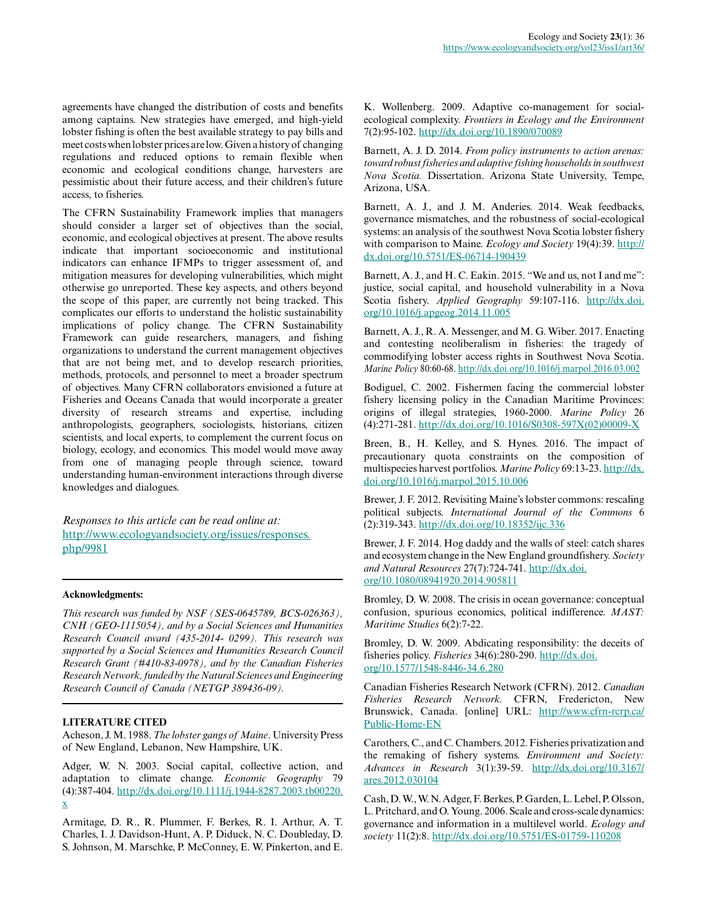agreements have changed the distribution of costs and benefits among captains. New strategies have emerged, and high-yield lobster fishing is often the best available strategy to pay bills and meet costs when lobster prices are low. Given a history of changing regulations and reduced options to remain flexible when economic and ecological conditions change, harvesters are pessimistic about their future access, and their children's future access, to fisheries.

The CFRN Sustainability Framework implies that managers should consider a larger set of objectives than the social, economic, and ecological objectives at present. The above results indicate that important socioeconomic and institutional indicators can enhance IFMPs to trigger assessment of, and mitigation measures for developing vulnerabilities, which might otherwise go unreported. These key aspects, and others beyond the scope of this paper, are currently not being tracked. This complicates our efforts to understand the holistic sustainability implications of policy change. The CFRN Sustainability Framework can guide researchers, managers, and fishing organizations to understand the current management objectives that are not being met, and to develop research priorities, methods, protocols, and personnel to meet a broader spectrum of objectives. Many CFRN collaborators envisioned a future at Fisheries and Oceans Canada that would incorporate a greater diversity of research streams and expertise, including anthropologists, geographers, sociologists, historians, citizen scientists, and local experts, to complement the current focus on biology, ecology, and economics. This model would move away from one of managing people through science, toward understanding human-environment interactions through diverse knowledges and dialogues.

*Responses to this article can be read online at:* [http://www.ecologyandsociety.org/issues/responses.](http://www.ecologyandsociety.org/issues/responses.php/9981) [php/9981](http://www.ecologyandsociety.org/issues/responses.php/9981)

# **Acknowledgments:**

*This research was funded by NSF (SES-0645789, BCS-026363), CNH (GEO-1115054), and by a Social Sciences and Humanities Research Council award (435-2014- 0299). This research was supported by a Social Sciences and Humanities Research Council Research Grant (#410-83-0978), and by the Canadian Fisheries Research Network, funded by the Natural Sciences and Engineering Research Council of Canada (NETGP 389436-09).*

# **LITERATURE CITED**

Acheson, J. M. 1988. *The lobster gangs of Maine*. University Press of New England, Lebanon, New Hampshire, UK.

Adger, W. N. 2003. Social capital, collective action, and adaptation to climate change. *Economic Geography* 79 (4):387-404. [http://dx.doi.org/10.1111/j.1944-8287.2003.tb00220.](http://dx.doi.org/10.1111%2Fj.1944-8287.2003.tb00220.x) [x](http://dx.doi.org/10.1111%2Fj.1944-8287.2003.tb00220.x)

Armitage, D. R., R. Plummer, F. Berkes, R. I. Arthur, A. T. Charles, I. J. Davidson-Hunt, A. P. Diduck, N. C. Doubleday, D. S. Johnson, M. Marschke, P. McConney, E. W. Pinkerton, and E. K. Wollenberg. 2009. Adaptive co-management for socialecological complexity. *Frontiers in Ecology and the Environment* 7(2):95-102. [http://dx.doi.org/10.1890/070089](http://dx.doi.org/10.1890%2F070089) 

Barnett, A. J. D. 2014. *From policy instruments to action arenas: toward robust fisheries and adaptive fishing households in southwest Nova Scotia.* Dissertation. Arizona State University, Tempe, Arizona, USA.

Barnett, A. J., and J. M. Anderies. 2014. Weak feedbacks, governance mismatches, and the robustness of social-ecological systems: an analysis of the southwest Nova Scotia lobster fishery with comparison to Maine. *Ecology and Society* 19(4):39. [http://](http://dx.doi.org/10.5751%2FES-06714-190439) [dx.doi.org/10.5751/ES-06714-190439](http://dx.doi.org/10.5751%2FES-06714-190439)

Barnett, A. J., and H. C. Eakin. 2015. "We and us, not I and me": justice, social capital, and household vulnerability in a Nova Scotia fishery. *Applied Geography* 59:107-116. [http://dx.doi.](http://dx.doi.org/10.1016%2Fj.apgeog.2014.11.005) [org/10.1016/j.apgeog.2014.11.005](http://dx.doi.org/10.1016%2Fj.apgeog.2014.11.005) 

Barnett, A. J., R. A. Messenger, and M. G. Wiber. 2017. Enacting and contesting neoliberalism in fisheries: the tragedy of commodifying lobster access rights in Southwest Nova Scotia. *Marine Policy* 80:60-68. [http://dx.doi.org/10.1016/j.marpol.2016.03.002](http://dx.doi.org/10.1016%2Fj.marpol.2016.03.002)

Bodiguel, C. 2002. Fishermen facing the commercial lobster fishery licensing policy in the Canadian Maritime Provinces: origins of illegal strategies, 1960-2000. *Marine Policy* 26 (4):271-281. [http://dx.doi.org/10.1016/S0308-597X\(02\)00009-X](http://dx.doi.org/10.1016%2FS0308-597X%2802%2900009-X) 

Breen, B., H. Kelley, and S. Hynes. 2016. The impact of precautionary quota constraints on the composition of multispecies harvest portfolios. *Marine Policy* 69:13-23. [http://dx.](http://dx.doi.org/10.1016%2Fj.marpol.2015.10.006) [doi.org/10.1016/j.marpol.2015.10.006](http://dx.doi.org/10.1016%2Fj.marpol.2015.10.006)

Brewer, J. F. 2012. Revisiting Maine's lobster commons: rescaling political subjects. *International Journal of the Commons* 6 (2):319-343. [http://dx.doi.org/10.18352/ijc.336](http://dx.doi.org/10.18352%2Fijc.336)

Brewer, J. F. 2014. Hog daddy and the walls of steel: catch shares and ecosystem change in the New England groundfishery. *Society and Natural Resources* 27(7):724-741. [http://dx.doi.](http://dx.doi.org/10.1080%2F08941920.2014.905811) [org/10.1080/08941920.2014.905811](http://dx.doi.org/10.1080%2F08941920.2014.905811)

Bromley, D. W. 2008. The crisis in ocean governance: conceptual confusion, spurious economics, political indifference. *MAST: Maritime Studies* 6(2):7-22.

Bromley, D. W. 2009. Abdicating responsibility: the deceits of fisheries policy. *Fisheries* 34(6):280-290. [http://dx.doi.](http://dx.doi.org/10.1577%2F1548-8446-34.6.280) [org/10.1577/1548-8446-34.6.280](http://dx.doi.org/10.1577%2F1548-8446-34.6.280)

Canadian Fisheries Research Network (CFRN). 2012. *Canadian Fisheries Research Network.* CFRN, Fredericton, New Brunswick, Canada. [online] URL: [http://www.cfrn-rcrp.ca/](http://www.cfrn-rcrp.ca/Public-Home-EN) [Public-Home-EN](http://www.cfrn-rcrp.ca/Public-Home-EN)

Carothers, C., and C. Chambers. 2012. Fisheries privatization and the remaking of fishery systems. *Environment and Society: Advances in Research* 3(1):39-59. [http://dx.doi.org/10.3167/](http://dx.doi.org/10.3167%2Fares.2012.030104) [ares.2012.030104](http://dx.doi.org/10.3167%2Fares.2012.030104) 

Cash, D. W., W. N. Adger, F. Berkes, P. Garden, L. Lebel, P. Olsson, L. Pritchard, and O. Young. 2006. Scale and cross-scale dynamics: governance and information in a multilevel world. *Ecology and society* 11(2):8. [http://dx.doi.org/10.5751/ES-01759-110208](http://dx.doi.org/10.5751%2FES-01759-110208)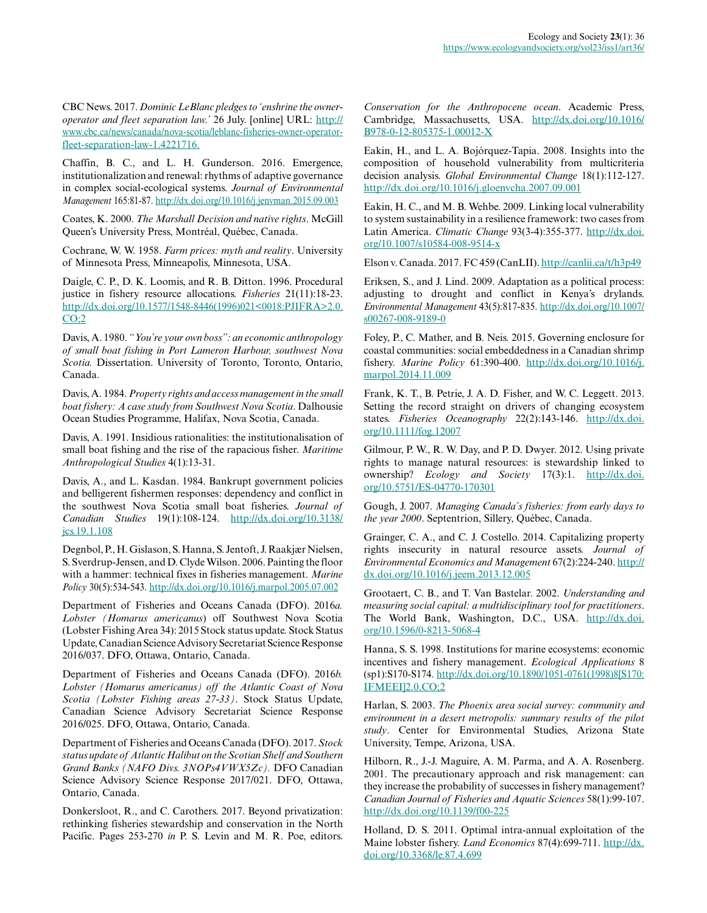CBC News. 2017. *Dominic LeBlanc pledges to 'enshrine the owneroperator and fleet separation law.'* 26 July. [online] URL: [http://](http://www.cbc.ca/news/canada/nova-scotia/leblanc-fisheries-owner-operator-fleet-separation-law-1.4221716.) [www.cbc.ca/news/canada/nova-scotia/leblanc-fisheries-owner-operator](http://www.cbc.ca/news/canada/nova-scotia/leblanc-fisheries-owner-operator-fleet-separation-law-1.4221716.)[fleet-separation-law-1.4221716.](http://www.cbc.ca/news/canada/nova-scotia/leblanc-fisheries-owner-operator-fleet-separation-law-1.4221716.) 

Chaffin, B. C., and L. H. Gunderson. 2016. Emergence, institutionalization and renewal: rhythms of adaptive governance in complex social-ecological systems. *Journal of Environmental Management* 165:81-87. [http://dx.doi.org/10.1016/j.jenvman.2015.09.003](http://dx.doi.org/10.1016%2Fj.jenvman.2015.09.003)

Coates, K. 2000. *The Marshall Decision and native rights*. McGill Queen's University Press, Montréal, Québec, Canada.

Cochrane, W. W. 1958. *Farm prices: myth and reality*. University of Minnesota Press, Minneapolis, Minnesota, USA.

Daigle, C. P., D. K. Loomis, and R. B. Ditton. 1996. Procedural justice in fishery resource allocations. *Fisheries* 21(11):18-23. [http://dx.doi.org/10.1577/1548-8446\(1996\)021<0018:PJIFRA>2.0.](http://dx.doi.org/10.1577%2F1548-8446%281996%29021%3C0018%3APJIFRA%3E2.0.CO%3B2)  $CO:2$ 

Davis, A. 1980. *"You're your own boss": an economic anthropology of small boat fishing in Port Lameron Harbour, southwest Nova Scotia.* Dissertation. University of Toronto, Toronto, Ontario, Canada.

Davis, A. 1984. *Property rights and access management in the small boat fishery: A case study from Southwest Nova Scotia*. Dalhousie Ocean Studies Programme, Halifax, Nova Scotia, Canada.

Davis, A. 1991. Insidious rationalities: the institutionalisation of small boat fishing and the rise of the rapacious fisher. *Maritime Anthropological Studies* 4(1):13-31.

Davis, A., and L. Kasdan. 1984. Bankrupt government policies and belligerent fishermen responses: dependency and conflict in the southwest Nova Scotia small boat fisheries. *Journal of Canadian Studies* 19(1):108-124. [http://dx.doi.org/10.3138/](http://dx.doi.org/10.3138%2Fjcs.19.1.108) [jcs.19.1.108](http://dx.doi.org/10.3138%2Fjcs.19.1.108) 

Degnbol, P., H. Gislason, S. Hanna, S. Jentoft, J. Raakjær Nielsen, S. Sverdrup-Jensen, and D. Clyde Wilson. 2006. Painting the floor with a hammer: technical fixes in fisheries management. *Marine Policy* 30(5):534-543. [http://dx.doi.org/10.1016/j.marpol.2005.07.002](http://dx.doi.org/10.1016%2Fj.marpol.2005.07.002) 

Department of Fisheries and Oceans Canada (DFO). 2016*a. Lobster (Homarus americanus*) off Southwest Nova Scotia (Lobster Fishing Area 34): 2015 Stock status update. Stock Status Update, Canadian Science Advisory Secretariat Science Response 2016/037. DFO, Ottawa, Ontario, Canada.

Department of Fisheries and Oceans Canada (DFO). 2016*b. Lobster (Homarus americanus) off the Atlantic Coast of Nova Scotia (Lobster Fishing areas 27-33)*. Stock Status Update, Canadian Science Advisory Secretariat Science Response 2016/025. DFO, Ottawa, Ontario, Canada.

Department of Fisheries and Oceans Canada (DFO). 2017. *Stock status update of Atlantic Halibut on the Scotian Shelf and Southern Grand Banks (NAFO Divs. 3NOPs4VWX5Zc).* DFO Canadian Science Advisory Science Response 2017/021. DFO, Ottawa, Ontario, Canada.

Donkersloot, R., and C. Carothers. 2017. Beyond privatization: rethinking fisheries stewardship and conservation in the North Pacific. Pages 253-270 *in* P. S. Levin and M. R. Poe, editors.

*Conservation for the Anthropocene ocean*. Academic Press, Cambridge, Massachusetts, USA. [http://dx.doi.org/10.1016/](http://dx.doi.org/10.1016%2FB978-0-12-805375-1.00012-X) [B978-0-12-805375-1.00012-X](http://dx.doi.org/10.1016%2FB978-0-12-805375-1.00012-X)

Eakin, H., and L. A. Bojórquez-Tapia. 2008. Insights into the composition of household vulnerability from multicriteria decision analysis. *Global Environmental Change* 18(1):112-127. [http://dx.doi.org/10.1016/j.gloenvcha.2007.09.001](http://dx.doi.org/10.1016%2Fj.gloenvcha.2007.09.001)

Eakin, H. C., and M. B. Wehbe. 2009. Linking local vulnerability to system sustainability in a resilience framework: two cases from Latin America. *Climatic Change* 93(3-4):355-377. [http://dx.doi.](http://dx.doi.org/10.1007%2Fs10584-008-9514-x) [org/10.1007/s10584-008-9514-x](http://dx.doi.org/10.1007%2Fs10584-008-9514-x)

Elson v. Canada. 2017. FC 459 (CanLII).<http://canlii.ca/t/h3p49>

Eriksen, S., and J. Lind. 2009. Adaptation as a political process: adjusting to drought and conflict in Kenya's drylands. *Environmental Management* 43(5):817-835. [http://dx.doi.org/10.1007/](http://dx.doi.org/10.1007%2Fs00267-008-9189-0) [s00267-008-9189-0](http://dx.doi.org/10.1007%2Fs00267-008-9189-0) 

Foley, P., C. Mather, and B. Neis. 2015. Governing enclosure for coastal communities: social embeddedness in a Canadian shrimp fishery. *Marine Policy* 61:390-400. [http://dx.doi.org/10.1016/j.](http://dx.doi.org/10.1016%2Fj.marpol.2014.11.009) [marpol.2014.11.009](http://dx.doi.org/10.1016%2Fj.marpol.2014.11.009) 

Frank, K. T., B. Petrie, J. A. D. Fisher, and W. C. Leggett. 2013. Setting the record straight on drivers of changing ecosystem states. *Fisheries Oceanography* 22(2):143-146. [http://dx.doi.](http://dx.doi.org/10.1111%2Ffog.12007) [org/10.1111/fog.12007](http://dx.doi.org/10.1111%2Ffog.12007)

Gilmour, P. W., R. W. Day, and P. D. Dwyer. 2012. Using private rights to manage natural resources: is stewardship linked to ownership? *Ecology and Society* 17(3):1. [http://dx.doi.](http://dx.doi.org/10.5751%2FES-04770-170301) [org/10.5751/ES-04770-170301](http://dx.doi.org/10.5751%2FES-04770-170301) 

Gough, J. 2007. *Managing Canada's fisheries: from early days to the year 2000*. Septentrion, Sillery, Québec, Canada.

Grainger, C. A., and C. J. Costello. 2014. Capitalizing property rights insecurity in natural resource assets. *Journal of Environmental Economics and Management* 67(2):224-240. [http://](http://dx.doi.org/10.1016%2Fj.jeem.2013.12.005) [dx.doi.org/10.1016/j.jeem.2013.12.005](http://dx.doi.org/10.1016%2Fj.jeem.2013.12.005)

Grootaert, C. B., and T. Van Bastelar. 2002. *Understanding and measuring social capital: a multidisciplinary tool for practitioners*. The World Bank, Washington, D.C., USA. [http://dx.doi.](http://dx.doi.org/10.1596%2F0-8213-5068-4) [org/10.1596/0-8213-5068-4](http://dx.doi.org/10.1596%2F0-8213-5068-4)

Hanna, S. S. 1998. Institutions for marine ecosystems: economic incentives and fishery management. *Ecological Applications* 8 (sp1):S170-S174. [http://dx.doi.org/10.1890/1051-0761\(1998\)8\[S170:](http://dx.doi.org/10.1890%2F1051-0761%281998%298%5BS170%3AIFMEEI%5D2.0.CO%3B2) [IFMEEI\]2.0.CO;2](http://dx.doi.org/10.1890%2F1051-0761%281998%298%5BS170%3AIFMEEI%5D2.0.CO%3B2) 

Harlan, S. 2003. *The Phoenix area social survey: community and environment in a desert metropolis: summary results of the pilot study*. Center for Environmental Studies, Arizona State University, Tempe, Arizona, USA.

Hilborn, R., J.-J. Maguire, A. M. Parma, and A. A. Rosenberg. 2001. The precautionary approach and risk management: can they increase the probability of successes in fishery management? *Canadian Journal of Fisheries and Aquatic Sciences* 58(1):99-107. [http://dx.doi.org/10.1139/f00-225](http://dx.doi.org/10.1139%2Ff00-225) 

Holland, D. S. 2011. Optimal intra-annual exploitation of the Maine lobster fishery. *Land Economics* 87(4):699-711. [http://dx.](http://dx.doi.org/10.3368%2Fle.87.4.699) [doi.org/10.3368/le.87.4.699](http://dx.doi.org/10.3368%2Fle.87.4.699)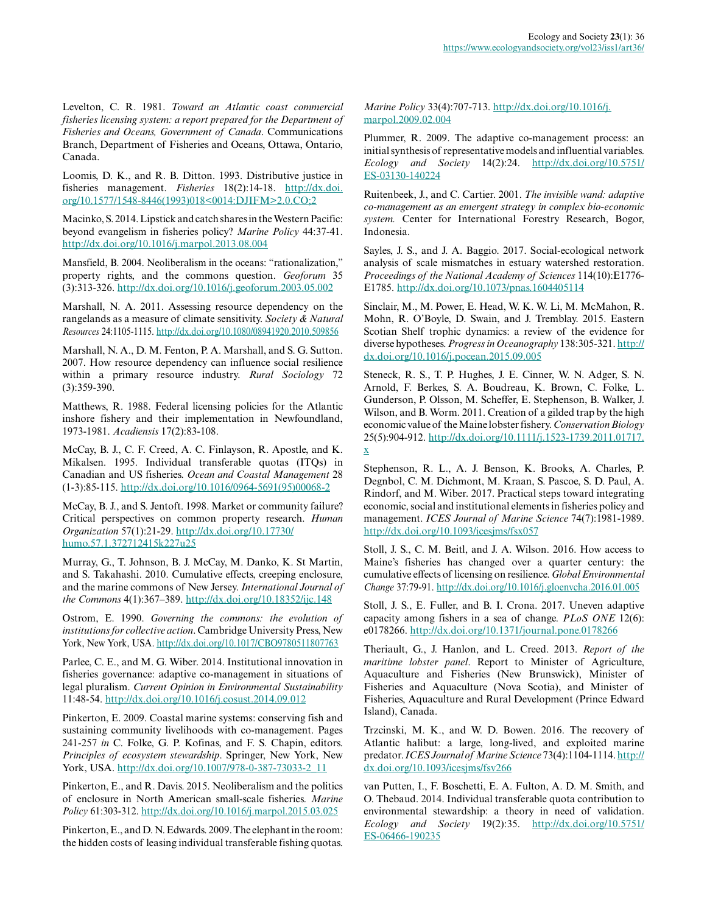Levelton, C. R. 1981. *Toward an Atlantic coast commercial fisheries licensing system: a report prepared for the Department of Fisheries and Oceans, Government of Canada*. Communications Branch, Department of Fisheries and Oceans, Ottawa, Ontario, Canada.

Loomis, D. K., and R. B. Ditton. 1993. Distributive justice in fisheries management. *Fisheries* 18(2):14-18. [http://dx.doi.](http://dx.doi.org/10.1577%2F1548-8446%281993%29018%3C0014%3ADJIFM%3E2.0.CO%3B2) [org/10.1577/1548-8446\(1993\)018<0014:DJIFM>2.0.CO;2](http://dx.doi.org/10.1577%2F1548-8446%281993%29018%3C0014%3ADJIFM%3E2.0.CO%3B2)

Macinko, S. 2014. Lipstick and catch shares in the Western Pacific: beyond evangelism in fisheries policy? *Marine Policy* 44:37-41. [http://dx.doi.org/10.1016/j.marpol.2013.08.004](http://dx.doi.org/10.1016%2Fj.marpol.2013.08.004) 

Mansfield, B. 2004. Neoliberalism in the oceans: "rationalization," property rights, and the commons question. *Geoforum* 35 (3):313-326. [http://dx.doi.org/10.1016/j.geoforum.2003.05.002](http://dx.doi.org/10.1016%2Fj.geoforum.2003.05.002) 

Marshall, N. A. 2011. Assessing resource dependency on the rangelands as a measure of climate sensitivity. *Society & Natural Resources* 24:1105-1115. [http://dx.doi.org/10.1080/08941920.2010.509856](http://dx.doi.org/10.1080%2F08941920.2010.509856)

Marshall, N. A., D. M. Fenton, P. A. Marshall, and S. G. Sutton. 2007. How resource dependency can influence social resilience within a primary resource industry. *Rural Sociology* 72 (3):359-390.

Matthews, R. 1988. Federal licensing policies for the Atlantic inshore fishery and their implementation in Newfoundland, 1973-1981. *Acadiensis* 17(2):83-108.

McCay, B. J., C. F. Creed, A. C. Finlayson, R. Apostle, and K. Mikalsen. 1995. Individual transferable quotas (ITQs) in Canadian and US fisheries. *Ocean and Coastal Management* 28 (1-3):85-115. [http://dx.doi.org/10.1016/0964-5691\(95\)00068-2](http://dx.doi.org/10.1016%2F0964-5691%2895%2900068-2) 

McCay, B. J., and S. Jentoft. 1998. Market or community failure? Critical perspectives on common property research. *Human Organization* 57(1):21-29. [http://dx.doi.org/10.17730/](http://dx.doi.org/10.17730%2Fhumo.57.1.372712415k227u25) [humo.57.1.372712415k227u25](http://dx.doi.org/10.17730%2Fhumo.57.1.372712415k227u25) 

Murray, G., T. Johnson, B. J. McCay, M. Danko, K. St Martin, and S. Takahashi. 2010. Cumulative effects, creeping enclosure, and the marine commons of New Jersey. *International Journal of the Commons* 4(1):367–389. [http://dx.doi.org/10.18352/ijc.148](http://dx.doi.org/10.18352%2Fijc.148)

Ostrom, E. 1990. *Governing the commons: the evolution of institutions for collective action*. Cambridge University Press, New York, New York, USA. [http://dx.doi.org/10.1017/CBO9780511807763](http://dx.doi.org/10.1017%2FCBO9780511807763) 

Parlee, C. E., and M. G. Wiber. 2014. Institutional innovation in fisheries governance: adaptive co-management in situations of legal pluralism. *Current Opinion in Environmental Sustainability* 11:48-54. [http://dx.doi.org/10.1016/j.cosust.2014.09.012](http://dx.doi.org/10.1016%2Fj.cosust.2014.09.012) 

Pinkerton, E. 2009. Coastal marine systems: conserving fish and sustaining community livelihoods with co-management. Pages 241-257 *in* C. Folke, G. P. Kofinas, and F. S. Chapin, editors. *Principles of ecosystem stewardship*. Springer, New York, New York, USA. [http://dx.doi.org/10.1007/978-0-387-73033-2\\_11](http://dx.doi.org/10.1007%2F978-0-387-73033-2_11) 

Pinkerton, E., and R. Davis. 2015. Neoliberalism and the politics of enclosure in North American small-scale fisheries. *Marine Policy* 61:303-312. [http://dx.doi.org/10.1016/j.marpol.2015.03.025](http://dx.doi.org/10.1016%2Fj.marpol.2015.03.025) 

Pinkerton, E., and D. N. Edwards. 2009. The elephant in the room: the hidden costs of leasing individual transferable fishing quotas. *Marine Policy* 33(4):707-713. [http://dx.doi.org/10.1016/j.](http://dx.doi.org/10.1016%2Fj.marpol.2009.02.004) [marpol.2009.02.004](http://dx.doi.org/10.1016%2Fj.marpol.2009.02.004) 

Plummer, R. 2009. The adaptive co-management process: an initial synthesis of representative models and influential variables. *Ecology and Society* 14(2):24. [http://dx.doi.org/10.5751/](http://dx.doi.org/10.5751%2FES-03130-140224) [ES-03130-140224](http://dx.doi.org/10.5751%2FES-03130-140224)

Ruitenbeek, J., and C. Cartier. 2001. *The invisible wand: adaptive co-management as an emergent strategy in complex bio-economic system.* Center for International Forestry Research, Bogor, Indonesia.

Sayles, J. S., and J. A. Baggio. 2017. Social-ecological network analysis of scale mismatches in estuary watershed restoration. *Proceedings of the National Academy of Sciences* 114(10):E1776- E1785. [http://dx.doi.org/10.1073/pnas.1604405114](http://dx.doi.org/10.1073%2Fpnas.1604405114) 

Sinclair, M., M. Power, E. Head, W. K. W. Li, M. McMahon, R. Mohn, R. O'Boyle, D. Swain, and J. Tremblay. 2015. Eastern Scotian Shelf trophic dynamics: a review of the evidence for diverse hypotheses. *Progress in Oceanography* 138:305-321. [http://](http://dx.doi.org/10.1016%2Fj.pocean.2015.09.005) [dx.doi.org/10.1016/j.pocean.2015.09.005](http://dx.doi.org/10.1016%2Fj.pocean.2015.09.005) 

Steneck, R. S., T. P. Hughes, J. E. Cinner, W. N. Adger, S. N. Arnold, F. Berkes, S. A. Boudreau, K. Brown, C. Folke, L. Gunderson, P. Olsson, M. Scheffer, E. Stephenson, B. Walker, J. Wilson, and B. Worm. 2011. Creation of a gilded trap by the high economic value of the Maine lobster fishery. *Conservation Biology* 25(5):904-912. [http://dx.doi.org/10.1111/j.1523-1739.2011.01717.](http://dx.doi.org/10.1111%2Fj.1523-1739.2011.01717.x) [x](http://dx.doi.org/10.1111%2Fj.1523-1739.2011.01717.x) 

Stephenson, R. L., A. J. Benson, K. Brooks, A. Charles, P. Degnbol, C. M. Dichmont, M. Kraan, S. Pascoe, S. D. Paul, A. Rindorf, and M. Wiber. 2017. Practical steps toward integrating economic, social and institutional elements in fisheries policy and management. *ICES Journal of Marine Science* 74(7):1981-1989. [http://dx.doi.org/10.1093/icesjms/fsx057](http://dx.doi.org/10.1093%2Ficesjms%2Ffsx057)

Stoll, J. S., C. M. Beitl, and J. A. Wilson. 2016. How access to Maine's fisheries has changed over a quarter century: the cumulative effects of licensing on resilience. *Global Environmental Change* 37:79-91. [http://dx.doi.org/10.1016/j.gloenvcha.2016.01.005](http://dx.doi.org/10.1016%2Fj.gloenvcha.2016.01.005) 

Stoll, J. S., E. Fuller, and B. I. Crona. 2017. Uneven adaptive capacity among fishers in a sea of change. *PLoS ONE* 12(6): e0178266. [http://dx.doi.org/10.1371/journal.pone.0178266](http://dx.doi.org/10.1371%2Fjournal.pone.0178266) 

Theriault, G., J. Hanlon, and L. Creed. 2013. *Report of the maritime lobster panel*. Report to Minister of Agriculture, Aquaculture and Fisheries (New Brunswick), Minister of Fisheries and Aquaculture (Nova Scotia), and Minister of Fisheries, Aquaculture and Rural Development (Prince Edward Island), Canada.

Trzcinski, M. K., and W. D. Bowen. 2016. The recovery of Atlantic halibut: a large, long-lived, and exploited marine predator. *ICES Journal of Marine Science* 73(4):1104-1114. [http://](http://dx.doi.org/10.1093%2Ficesjms%2Ffsv266) [dx.doi.org/10.1093/icesjms/fsv266](http://dx.doi.org/10.1093%2Ficesjms%2Ffsv266) 

van Putten, I., F. Boschetti, E. A. Fulton, A. D. M. Smith, and O. Thebaud. 2014. Individual transferable quota contribution to environmental stewardship: a theory in need of validation. *Ecology and Society* 19(2):35. [http://dx.doi.org/10.5751/](http://dx.doi.org/10.5751%2FES-06466-190235) [ES-06466-190235](http://dx.doi.org/10.5751%2FES-06466-190235)